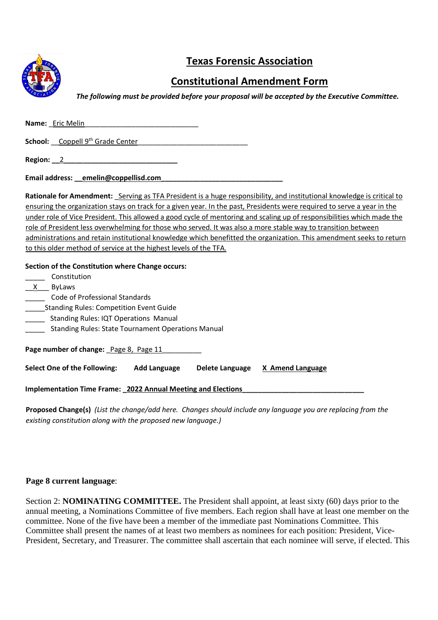

# **Texas Forensic Association**

# **Constitutional Amendment Form**

*The following must be provided before your proposal will be accepted by the Executive Committee.* 

Name: \_Eric Melin

School: Coppell 9<sup>th</sup> Grade Center

**Region:** 2

Email address: emelin@coppellisd.com

**Rationale for Amendment:** Serving as TFA President is a huge responsibility, and institutional knowledge is critical to ensuring the organization stays on track for a given year. In the past, Presidents were required to serve a year in the under role of Vice President. This allowed a good cycle of mentoring and scaling up of responsibilities which made the role of President less overwhelming for those who served. It was also a more stable way to transition between administrations and retain institutional knowledge which benefitted the organization. This amendment seeks to return to this older method of service at the highest levels of the TFA.

#### **Section of the Constitution where Change occurs:**

| Constitution<br>$\mathsf{X}$<br><b>ByLaws</b><br>Code of Professional Standards<br><b>Standing Rules: Competition Event Guide</b><br><b>Standing Rules: IQT Operations Manual</b><br><b>Standing Rules: State Tournament Operations Manual</b> |                     |                 |                  |  |
|------------------------------------------------------------------------------------------------------------------------------------------------------------------------------------------------------------------------------------------------|---------------------|-----------------|------------------|--|
| Page number of change: Page 8, Page 11                                                                                                                                                                                                         |                     |                 |                  |  |
| Select One of the Following:                                                                                                                                                                                                                   | <b>Add Language</b> | Delete Language | X Amend Language |  |
| <b>Implementation Time Frame: 2022 Annual Meeting and Elections</b>                                                                                                                                                                            |                     |                 |                  |  |

**Proposed Change(s)** *(List the change/add here. Changes should include any language you are replacing from the existing constitution along with the proposed new language.)*

#### **Page 8 current language**:

Section 2: **NOMINATING COMMITTEE.** The President shall appoint, at least sixty (60) days prior to the annual meeting, a Nominations Committee of five members. Each region shall have at least one member on the committee. None of the five have been a member of the immediate past Nominations Committee. This Committee shall present the names of at least two members as nominees for each position: President, Vice-President, Secretary, and Treasurer. The committee shall ascertain that each nominee will serve, if elected. This